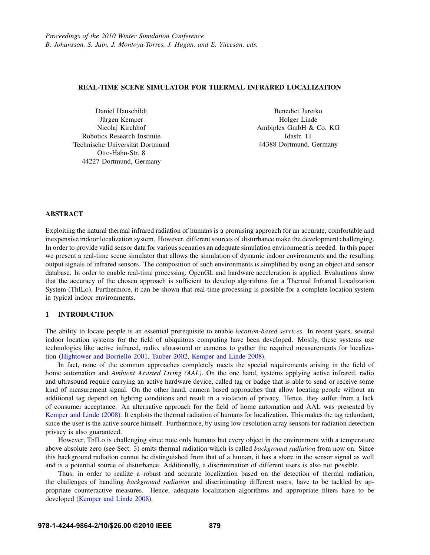### **REAL-TIME SCENE SIMULATOR FOR THERMAL INFRARED LOCALIZATION**

Daniel Hauschildt Jürgen Kemper Nicolaj Kirchhof Robotics Research Institute Technische Universität Dortmund Otto-Hahn-Str. 8 44227 Dortmund, Germany

Benedict Juretko Holger Linde Ambiplex GmbH & Co. KG Idastr. 11 44388 Dortmund, Germany

### **ABSTRACT**

Exploiting the natural thermal infrared radiation of humans is a promising approach for an accurate, comfortable and inexpensive indoor localization system. However, different sources of disturbance make the development challenging. In order to provide valid sensor data for various scenarios an adequate simulation environment is needed. In this paper we present a real-time scene simulator that allows the simulation of dynamic indoor environments and the resulting output signals of infrared sensors. The composition of such environments is simplified by using an object and sensor database. In order to enable real-time processing, OpenGL and hardware acceleration is applied. Evaluations show that the accuracy of the chosen approach is sufficient to develop algorithms for a Thermal Infrared Localization System (ThILo). Furthermore, it can be shown that real-time processing is possible for a complete location system in typical indoor environments.

## **1 INTRODUCTION**

The ability to locate people is an essential prerequisite to enable *location-based services*. In recent years, several indoor location systems for the field of ubiquitous computing have been developed. Mostly, these systems use technologies like active infrared, radio, ultrasound or cameras to gather the required measurements for localization (Hightower and Borriello 2001, Tauber 2002, Kemper and Linde 2008).

In fact, none of the common approaches completely meets the special requirements arising in the field of home automation and *Ambient Assisted Living (AAL)*. On the one hand, systems applying active infrared, radio and ultrasound require carrying an active hardware device, called tag or badge that is able to send or receive some kind of measurement signal. On the other hand, camera based approaches that allow locating people without an additional tag depend on lighting conditions and result in a violation of privacy. Hence, they suffer from a lack of consumer acceptance. An alternative approach for the field of home automation and AAL was presented by Kemper and Linde (2008). It exploits the thermal radiation of humans for localization. This makes the tag redundant, since the user is the active source himself. Furthermore, by using low resolution array sensors for radiation detection privacy is also guaranteed.

However, ThILo is challenging since note only humans but every object in the environment with a temperature above absolute zero (see Sect. 3) emits thermal radiation which is called *background radiation* from now on. Since this background radiation cannot be distinguished from that of a human, it has a share in the sensor signal as well and is a potential source of disturbance. Additionally, a discrimination of different users is also not possible.

Thus, in order to realize a robust and accurate localization based on the detection of thermal radiation, the challenges of handling *background radiation* and discriminating different users, have to be tackled by appropriate counteractive measures. Hence, adequate localization algorithms and appropriate filters have to be developed (Kemper and Linde 2008).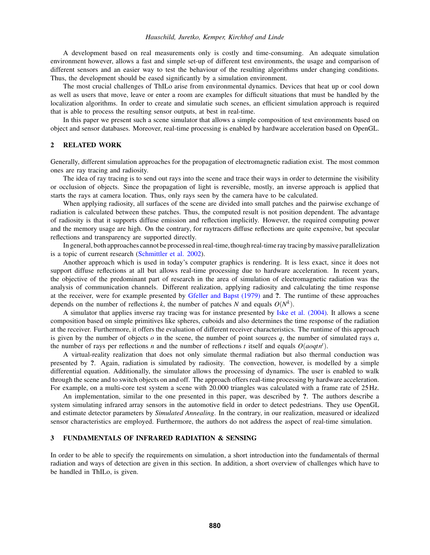A development based on real measurements only is costly and time-consuming. An adequate simulation environment however, allows a fast and simple set-up of different test environments, the usage and comparison of different sensors and an easier way to test the behaviour of the resulting algorithms under changing conditions. Thus, the development should be eased significantly by a simulation environment.

The most crucial challenges of ThILo arise from environmental dynamics. Devices that heat up or cool down as well as users that move, leave or enter a room are examples for difficult situations that must be handled by the localization algorithms. In order to create and simulatie such scenes, an efficient simulation approach is required that is able to process the resulting sensor outputs, at best in real-time.

In this paper we present such a scene simulator that allows a simple composition of test environments based on object and sensor databases. Moreover, real-time processing is enabled by hardware acceleration based on OpenGL.

## **2 RELATED WORK**

Generally, different simulation approaches for the propagation of electromagnetic radiation exist. The most common ones are ray tracing and radiosity.

The idea of ray tracing is to send out rays into the scene and trace their ways in order to determine the visibility or occlusion of objects. Since the propagation of light is reversible, mostly, an inverse approach is applied that starts the rays at camera location. Thus, only rays seen by the camera have to be calculated.

When applying radiosity, all surfaces of the scene are divided into small patches and the pairwise exchange of radiation is calculated between these patches. Thus, the computed result is not position dependent. The advantage of radiosity is that it supports diffuse emission and reflection implicitly. However, the required computing power and the memory usage are high. On the contrary, for raytracers diffuse reflections are quite expensive, but specular reflections and transparency are supported directly.

In general, both approaches cannot be processed in real-time, though real-time ray tracing by massive parallelization is a topic of current research (Schmittler et al. 2002).

Another approach which is used in today's computer graphics is rendering. It is less exact, since it does not support diffuse reflections at all but allows real-time processing due to hardware acceleration. In recent years, the objective of the predominant part of research in the area of simulation of electromagnetic radiation was the analysis of communication channels. Different realization, applying radiosity and calculating the time response at the receiver, were for example presented by Gfeller and Bapst (1979) and **?**. The runtime of these approaches depends on the number of reflections *k*, the number of patches *N* and equals  $O(N<sup>k</sup>)$ .

A simulator that applies inverse ray tracing was for instance presented by Iske et al. (2004). It allows a scene composition based on simple primitives like spheres, cuboids and also determines the time response of the radiation at the receiver. Furthermore, it offers the evaluation of different receiver characteristics. The runtime of this approach is given by the number of objects  $o$  in the scene, the number of point sources  $q$ , the number of simulated rays  $a$ , the number of rays per reflections *n* and the number of reflections *t* itself and equals  $O(a \cdot q t n^t)$ .

A virtual-reality realization that does not only simulate thermal radiation but also thermal conduction was presented by **?**. Again, radiation is simulated by radiosity. The convection, however, is modelled by a simple differential equation. Additionally, the simulator allows the processing of dynamics. The user is enabled to walk through the scene and to switch objects on and off. The approach offers real-time processing by hardware acceleration. For example, on a multi-core test system a scene with 20.000 triangles was calculated with a frame rate of 25Hz.

An implementation, similar to the one presented in this paper, was described by **?**. The authors describe a system simulating infrared array sensors in the automotive field in order to detect pedestrians. They use OpenGL and estimate detector parameters by *Simulated Annealing*. In the contrary, in our realization, measured or idealized sensor characteristics are employed. Furthermore, the authors do not address the aspect of real-time simulation.

### **3 FUNDAMENTALS OF INFRARED RADIATION & SENSING**

In order to be able to specify the requirements on simulation, a short introduction into the fundamentals of thermal radiation and ways of detection are given in this section. In addition, a short overview of challenges which have to be handled in ThILo, is given.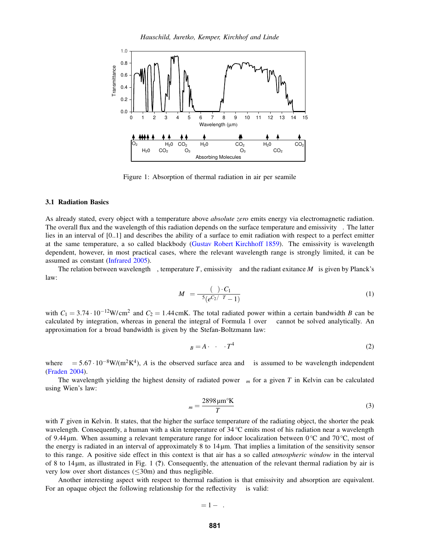

Figure 1: Absorption of thermal radiation in air per seamile

### **3.1 Radiation Basics**

As already stated, every object with a temperature above *absolute zero* emits energy via electromagnetic radiation. The overall flux and the wavelength of this radiation depends on the surface temperature and emissivity  $\varepsilon$ . The latter lies in an interval of [0..1] and describes the ability of a surface to emit radiation with respect to a perfect emitter at the same temperature, a so called blackbody (Gustav Robert Kirchhoff 1859). The emissivity is wavelength dependent, however, in most practical cases, where the relevant wavelength range is strongly limited, it can be assumed as constant (Infrared 2005).

The relation between wavelength  $\lambda$ , temperature *T*, emissivity  $\varepsilon$  and the radiant exitance  $M_{\lambda}$  is given by Planck's law:

$$
M_{\lambda} = \frac{\varepsilon(\lambda) \cdot C_1}{\lambda^5 (e^{C_2/\lambda T} - 1)}\tag{1}
$$

with  $C_1 = 3.74 \cdot 10^{-12}$ W/cm<sup>2</sup> and  $C_2 = 1.44$  cmK. The total radiated power within a certain bandwidth *B* can be calculated by integration, whereas in general the integral of Formula 1 over  $\lambda$  cannot be solved analytically. An approximation for a broad bandwidth is given by the Stefan-Boltzmann law:

$$
\Phi_B = A \cdot \varepsilon \cdot \sigma \cdot T^4 \tag{2}
$$

where  $\sigma = 5.67 \cdot 10^{-8} W/(m^2 K^4)$ , *A* is the observed surface area and  $\varepsilon$  is assumed to be wavelength independent (Fraden 2004).

The wavelength yielding the highest density of radiated power  $\lambda_m$  for a given *T* in Kelvin can be calculated using Wien's law:

$$
\lambda_m = \frac{2898 \,\mathrm{\mu m}^{\circ}\mathrm{K}}{T} \tag{3}
$$

with *T* given in Kelvin. It states, that the higher the surface temperature of the radiating object, the shorter the peak wavelength. Consequently, a human with a skin temperature of 34 °C emits most of his radiation near a wavelength of 9.44µm. When assuming a relevant temperature range for indoor localization between 0°C and 70°C, most of the energy is radiated in an interval of approximately 8 to 14µm. That implies a limitation of the sensitivity sensor to this range. A positive side effect in this context is that air has a so called *atmospheric window* in the interval of 8 to 14µm, as illustrated in Fig. 1 (**?**). Consequently, the attenuation of the relevant thermal radiation by air is very low over short distances  $(\leq 30m)$  and thus negligible.

Another interesting aspect with respect to thermal radiation is that emissivity and absorption are equivalent. For an opaque object the following relationship for the reflectivity  $\rho$  is valid:

$$
\rho=1-\varepsilon.
$$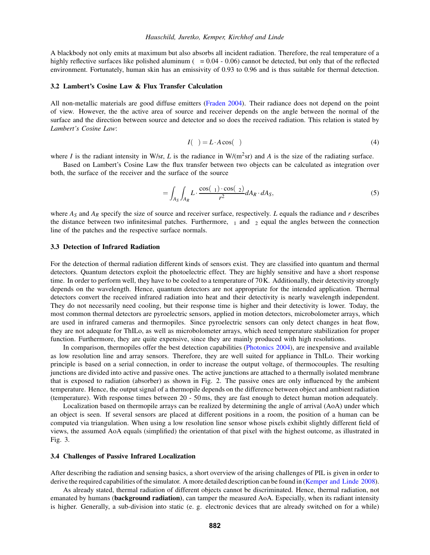A blackbody not only emits at maximum but also absorbs all incident radiation. Therefore, the real temperature of a highly reflective surfaces like polished aluminum ( $\varepsilon = 0.04 - 0.06$ ) cannot be detected, but only that of the reflected environment. Fortunately, human skin has an emissivity of 0.93 to 0.96 and is thus suitable for thermal detection.

### **3.2 Lambert's Cosine Law & Flux Transfer Calculation**

All non-metallic materials are good diffuse emitters (Fraden 2004). Their radiance does not depend on the point of view. However, the the active area of source and receiver depends on the angle between the normal of the surface and the direction between source and detector and so does the received radiation. This relation is stated by *Lambert's Cosine Law*:

$$
I(\alpha) = L \cdot A \cos(\alpha) \tag{4}
$$

where *I* is the radiant intensity in W/sr, *L* is the radiance in W/( $m<sup>2</sup>$ sr) and *A* is the size of the radiating surface.

Based on Lambert's Cosine Law the flux transfer between two objects can be calculated as integration over both, the surface of the receiver and the surface of the source

$$
\Phi = \int_{A_S} \int_{A_R} L \cdot \frac{\cos(\gamma_1) \cdot \cos(\gamma_2)}{r^2} dA_R \cdot dA_S,\tag{5}
$$

where *AS* and *AR* specify the size of source and receiver surface, respectively. *L* equals the radiance and *r* describes the distance between two infinitesimal patches. Furthermore,  $\gamma_1$  and  $\gamma_2$  equal the angles between the connection line of the patches and the respective surface normals.

# **3.3 Detection of Infrared Radiation**

For the detection of thermal radiation different kinds of sensors exist. They are classified into quantum and thermal detectors. Quantum detectors exploit the photoelectric effect. They are highly sensitive and have a short response time. In order to perform well, they have to be cooled to a temperature of 70K. Additionally, their detectivity strongly depends on the wavelength. Hence, quantum detectors are not appropriate for the intended application. Thermal detectors convert the received infrared radiation into heat and their detectivity is nearly wavelength independent. They do not necessarily need cooling, but their response time is higher and their detectivity is lower. Today, the most common thermal detectors are pyroelectric sensors, applied in motion detectors, microbolometer arrays, which are used in infrared cameras and thermopiles. Since pyroelectric sensors can only detect changes in heat flow, they are not adequate for ThILo, as well as microbolometer arrays, which need temperature stabilization for proper function. Furthermore, they are quite expensive, since they are mainly produced with high resolutions.

In comparison, thermopiles offer the best detection capabilities (Photonics 2004), are inexpensive and available as low resolution line and array sensors. Therefore, they are well suited for appliance in ThILo. Their working principle is based on a serial connection, in order to increase the output voltage, of thermocouples. The resulting junctions are divided into active and passive ones. The active junctions are attached to a thermally isolated membrane that is exposed to radiation (absorber) as shown in Fig. 2. The passive ones are only influenced by the ambient temperature. Hence, the output signal of a thermopile depends on the difference between object and ambient radiation (temperature). With response times between 20 - 50 ms, they are fast enough to detect human motion adequately.

Localization based on thermopile arrays can be realized by determining the angle of arrival (AoA) under which an object is seen. If several sensors are placed at different positions in a room, the position of a human can be computed via triangulation. When using a low resolution line sensor whose pixels exhibit slightly different field of views, the assumed AoA equals (simplified) the orientation of that pixel with the highest outcome, as illustrated in Fig. 3.

#### **3.4 Challenges of Passive Infrared Localization**

After describing the radiation and sensing basics, a short overview of the arising challenges of PIL is given in order to derive the required capabilities of the simulator. A more detailed description can be found in (Kemper and Linde 2008).

As already stated, thermal radiation of different objects cannot be discriminated. Hence, thermal radiation, not emanated by humans (**background radiation)**, can tamper the measured AoA. Especially, when its radiant intensity is higher. Generally, a sub-division into static (e. g. electronic devices that are already switched on for a while)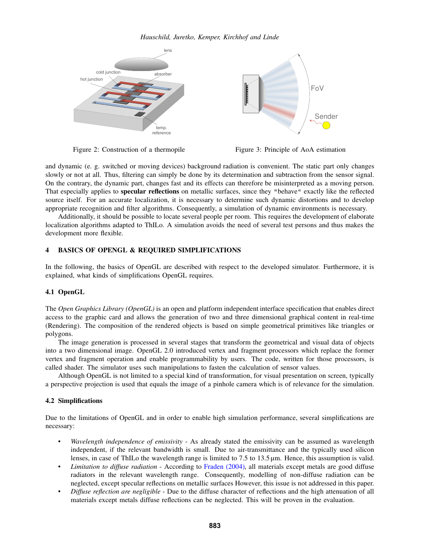

Figure 2: Construction of a thermopile

Figure 3: Principle of AoA estimation

and dynamic (e. g. switched or moving devices) background radiation is convenient. The static part only changes slowly or not at all. Thus, filtering can simply be done by its determination and subtraction from the sensor signal. On the contrary, the dynamic part, changes fast and its effects can therefore be misinterpreted as a moving person. That especially applies to **specular reflections** on metallic surfaces, since they "behave" exactly like the reflected source itself. For an accurate localization, it is necessary to determine such dynamic distortions and to develop appropriate recognition and filter algorithms. Consequently, a simulation of dynamic environments is necessary.

Additionally, it should be possible to locate several people per room. This requires the development of elaborate localization algorithms adapted to ThILo. A simulation avoids the need of several test persons and thus makes the development more flexible.

# **4 BASICS OF OPENGL & REQUIRED SIMPLIFICATIONS**

In the following, the basics of OpenGL are described with respect to the developed simulator. Furthermore, it is explained, what kinds of simplifications OpenGL requires.

## **4.1 OpenGL**

The *Open Graphics Library (OpenGL)* is an open and platform independent interface specification that enables direct access to the graphic card and allows the generation of two and three dimensional graphical content in real-time (Rendering). The composition of the rendered objects is based on simple geometrical primitives like triangles or polygons.

The image generation is processed in several stages that transform the geometrical and visual data of objects into a two dimensional image. OpenGL 2.0 introduced vertex and fragment processors which replace the former vertex and fragment operation and enable programmability by users. The code, written for those processors, is called shader. The simulator uses such manipulations to fasten the calculation of sensor values.

Although OpenGL is not limited to a special kind of transformation, for visual presentation on screen, typically a perspective projection is used that equals the image of a pinhole camera which is of relevance for the simulation.

### **4.2 Simplifications**

Due to the limitations of OpenGL and in order to enable high simulation performance, several simplifications are necessary:

- *Wavelength independence of emissivity* As already stated the emissivity can be assumed as wavelength independent, if the relevant bandwidth is small. Due to air-transmittance and the typically used silicon lenses, in case of ThILo the wavelength range is limited to 7.5 to 13.5 µm. Hence, this assumption is valid.
- *Limitation to diffuse radiation* According to Fraden (2004), all materials except metals are good diffuse radiators in the relevant wavelength range. Consequently, modelling of non-diffuse radiation can be neglected, except specular reflections on metallic surfaces However, this issue is not addressed in this paper.
- *Diffuse reflection are negligible* Due to the diffuse character of reflections and the high attenuation of all materials except metals diffuse reflections can be neglected. This will be proven in the evaluation.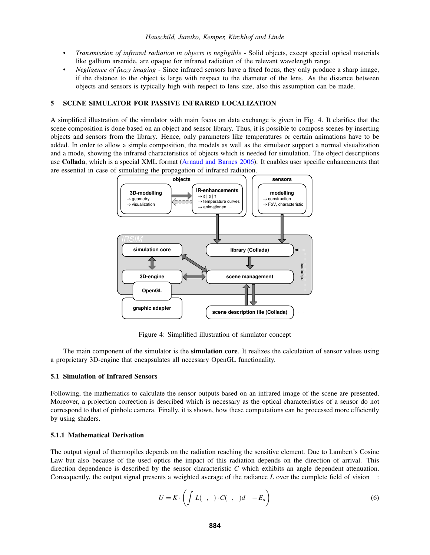- *Transmission of infrared radiation in objects is negligible* Solid objects, except special optical materials like gallium arsenide, are opaque for infrared radiation of the relevant wavelength range.
- *Negligence of fuzzy imaging* Since infrared sensors have a fixed focus, they only produce a sharp image, if the distance to the object is large with respect to the diameter of the lens. As the distance between objects and sensors is typically high with respect to lens size, also this assumption can be made.

# **5 SCENE SIMULATOR FOR PASSIVE INFRARED LOCALIZATION**

A simplified illustration of the simulator with main focus on data exchange is given in Fig. 4. It clarifies that the scene composition is done based on an object and sensor library. Thus, it is possible to compose scenes by inserting objects and sensors from the library. Hence, only parameters like temperatures or certain animations have to be added. In order to allow a simple composition, the models as well as the simulator support a normal visualization and a mode, showing the infrared characteristics of objects which is needed for simulation. The object descriptions use **Collada**, which is a special XML format (Arnaud and Barnes 2006). It enables user specific enhancements that are essential in case of simulating the propagation of infrared radiation.



Figure 4: Simplified illustration of simulator concept

The main component of the simulator is the **simulation core**. It realizes the calculation of sensor values using a proprietary 3D-engine that encapsulates all necessary OpenGL functionality.

## **5.1 Simulation of Infrared Sensors**

Following, the mathematics to calculate the sensor outputs based on an infrared image of the scene are presented. Moreover, a projection correction is described which is necessary as the optical characteristics of a sensor do not correspond to that of pinhole camera. Finally, it is shown, how these computations can be processed more efficiently by using shaders.

# **5.1.1 Mathematical Derivation**

The output signal of thermopiles depends on the radiation reaching the sensitive element. Due to Lambert's Cosine Law but also because of the used optics the impact of this radiation depends on the direction of arrival. This direction dependence is described by the sensor characteristic *C* which exhibits an angle dependent attenuation. Consequently, the output signal presents a weighted average of the radiance *L* over the complete field of vision  $\Omega$ :

$$
U = K \cdot \left( \int_{\Omega} L(\phi, \theta) \cdot C(\phi, \theta) d\omega - E_a \right) \tag{6}
$$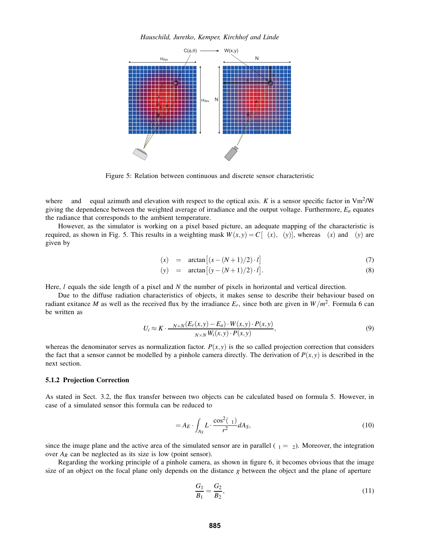*Hauschild, Juretko, Kemper, Kirchhof and Linde*



Figure 5: Relation between continuous and discrete sensor characteristic

where  $\phi$  and  $\theta$  equal azimuth and elevation with respect to the optical axis. *K* is a sensor specific factor in Vm<sup>2</sup>/W giving the dependence between the weighted average of irradiance and the output voltage. Furthermore, *Ea* equates the radiance that corresponds to the ambient temperature.

However, as the simulator is working on a pixel based picture, an adequate mapping of the characteristic is required, as shown in Fig. 5. This results in a weighting mask  $W(x, y) = C[\phi(x), \theta(y)]$ , whereas  $\phi(x)$  and  $\theta(y)$  are given by

$$
\phi(x) = \arctan\left[ (x - (N+1)/2) \cdot l \right] \tag{7}
$$

$$
\theta(y) = \arctan[(y - (N+1)/2) \cdot l]. \tag{8}
$$

Here, *l* equals the side length of a pixel and *N* the number of pixels in horizontal and vertical direction.

Due to the diffuse radiation characteristics of objects, it makes sense to describe their behaviour based on radiant exitance *M* as well as the received flux by the irradiance  $E_r$ , since both are given in  $W/m^2$ . Formula 6 can be written as

$$
U_i \approx K \cdot \frac{\sum_{N \times N} (E_r(x, y) - E_a) \cdot W(x, y) \cdot P(x, y)}{\sum_{N \times N} W_i(x, y) \cdot P(x, y)},
$$
\n(9)

whereas the denominator serves as normalization factor.  $P(x, y)$  is the so called projection correction that considers the fact that a sensor cannot be modelled by a pinhole camera directly. The derivation of  $P(x, y)$  is described in the next section.

## **5.1.2 Projection Correction**

As stated in Sect. 3.2, the flux transfer between two objects can be calculated based on formula 5. However, in case of a simulated sensor this formula can be reduced to

$$
\Phi = A_E \cdot \int_{A_S} L \cdot \frac{\cos^2(\gamma_1)}{r^2} dA_S,\tag{10}
$$

since the image plane and the active area of the simulated sensor are in parallel ( $\gamma_1 = \gamma_2$ ). Moreover, the integration over  $A_R$  can be neglected as its size is low (point sensor).

Regarding the working principle of a pinhole camera, as shown in figure 6, it becomes obvious that the image size of an object on the focal plane only depends on the distance *g* between the object and the plane of aperture

$$
\frac{G_1}{B_1} = \frac{G_2}{B_2},\tag{11}
$$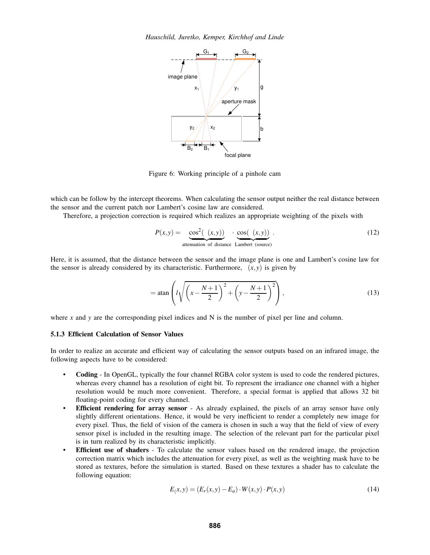

Figure 6: Working principle of a pinhole cam

which can be follow by the intercept theorems. When calculating the sensor output neither the real distance between the sensor and the current patch nor Lambert's cosine law are considered.

Therefore, a projection correction is required which realizes an appropriate weighting of the pixels with

$$
P(x, y) = \underbrace{\cos^{2}(\gamma(x, y))}_{\text{attention of distance Lambert (source)}}.
$$
 (12)

Here, it is assumed, that the distance between the sensor and the image plane is one and Lambert's cosine law for the sensor is already considered by its characteristic. Furthermore,  $\gamma(x, y)$  is given by

$$
\gamma = \operatorname{atan}\left(l\sqrt{\left(x - \frac{N+1}{2}\right)^2 + \left(y - \frac{N+1}{2}\right)^2}\right),\tag{13}
$$

where  $x$  and  $y$  are the corresponding pixel indices and N is the number of pixel per line and column.

## **5.1.3 Efficient Calculation of Sensor Values**

In order to realize an accurate and efficient way of calculating the sensor outputs based on an infrared image, the following aspects have to be considered:

- **Coding** In OpenGL, typically the four channel RGBA color system is used to code the rendered pictures, whereas every channel has a resolution of eight bit. To represent the irradiance one channel with a higher resolution would be much more convenient. Therefore, a special format is applied that allows 32 bit floating-point coding for every channel.
- **Efficient rendering for array sensor** As already explained, the pixels of an array sensor have only slightly different orientations. Hence, it would be very inefficient to render a completely new image for every pixel. Thus, the field of vision of the camera is chosen in such a way that the field of view of every sensor pixel is included in the resulting image. The selection of the relevant part for the particular pixel is in turn realized by its characteristic implicitly.
- **Efficient use of shaders** To calculate the sensor values based on the rendered image, the projection correction matrix which includes the attenuation for every pixel, as well as the weighting mask have to be stored as textures, before the simulation is started. Based on these textures a shader has to calculate the following equation:

$$
E(x, y) = (E_r(x, y) - E_a) \cdot W(x, y) \cdot P(x, y)
$$
\n(14)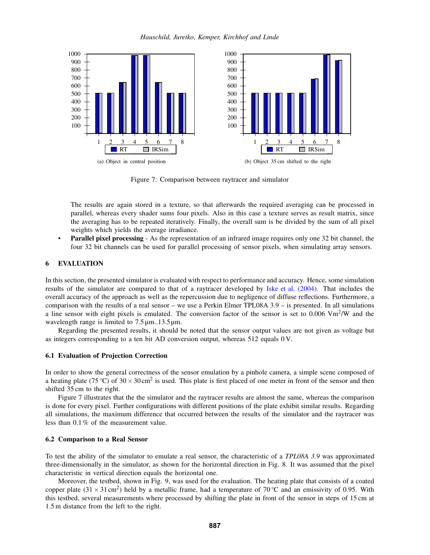

Figure 7: Comparison between raytracer and simulator

The results are again stored in a texture, so that afterwards the required averaging can be processed in parallel, whereas every shader sums four pixels. Also in this case a texture serves as result matrix, since the averaging has to be repeated iteratively. Finally, the overall sum is be divided by the sum of all pixel weights which yields the average irradiance.

**Parallel pixel processing** - As the representation of an infrared image requires only one 32 bit channel, the four 32 bit channels can be used for parallel processing of sensor pixels, when simulating array sensors.

## **6 EVALUATION**

In this section, the presented simulator is evaluated with respect to performance and accuracy. Hence, some simulation results of the simulator are compared to that of a raytracer developed by Iske et al. (2004). That includes the overall accuracy of the approach as well as the repercussion due to negligence of diffuse reflections. Furthermore, a comparison with the results of a real sensor – we use a Perkin Elmer TPL08A 3.9 – is presented. In all simulations a line sensor with eight pixels is emulated. The conversion factor of the sensor is set to  $0.006$  Vm<sup>2</sup>/W and the wavelength range is limited to  $7.5 \,\mu \text{m}$ . 13.5  $\mu \text{m}$ .

Regarding the presented results, it should be noted that the sensor output values are not given as voltage but as integers corresponding to a ten bit AD conversion output, whereas 512 equals 0 V.

### **6.1 Evaluation of Projection Correction**

In order to show the general correctness of the sensor emulation by a pinhole camera, a simple scene composed of a heating plate (75 °C) of  $30 \times 30 \text{ cm}^2$  is used. This plate is first placed of one meter in front of the sensor and then shifted 35 cm to the right.

Figure 7 illustrates that the the simulator and the raytracer results are almost the same, whereas the comparison is done for every pixel. Further configurations with different positions of the plate exhibit similar results. Regarding all simulations, the maximum difference that occurred between the results of the simulator and the raytracer was less than 0.1 % of the measurement value.

### **6.2 Comparison to a Real Sensor**

To test the ability of the simulator to emulate a real sensor, the characteristic of a *TPL08A 3.9* was approximated three-dimensionally in the simulator, as shown for the horizontal direction in Fig. 8. It was assumed that the pixel characteristic in vertical direction equals the horizontal one.

Moreover, the testbed, shown in Fig. 9, was used for the evaluation. The heating plate that consists of a coated copper plate  $(31 \times 31 \text{ cm}^2)$  held by a metallic frame, had a temperature of 70 °C and an emissivity of 0.95. With this testbed, several measurements where processed by shifting the plate in front of the sensor in steps of 15 cm at 1.5 m distance from the left to the right.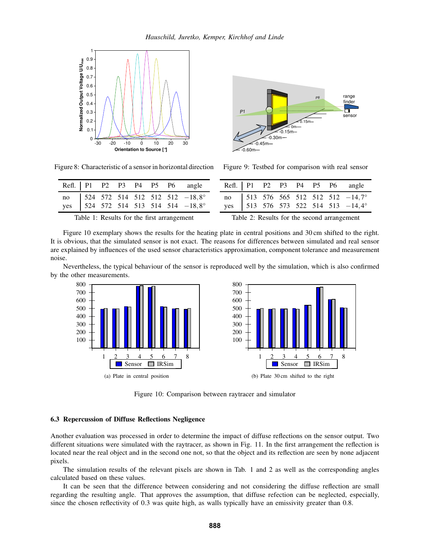

Figure 8: Characteristic of a sensor in horizontal direction

|  |  |  | Refl.   P1 P2 P3 P4 P5 P6 angle                                         |
|--|--|--|-------------------------------------------------------------------------|
|  |  |  | no 524 572 514 512 512 512 -18,8°<br>yes 524 572 514 513 514 514 -18,8° |
|  |  |  |                                                                         |



Figure 9: Testbed for comparison with real sensor

|  |  |  | Refl.   P1 P2 P3 P4 P5 P6 angle                                                                                                                      |
|--|--|--|------------------------------------------------------------------------------------------------------------------------------------------------------|
|  |  |  | no $\begin{array}{ l } 513 & 576 & 565 & 512 & 512 & 512 & -14.7^{\circ} \\ \hline 513 & 576 & 573 & 522 & 514 & 513 & -14.4^{\circ} \\ \end{array}$ |
|  |  |  |                                                                                                                                                      |

|  |  |  |  |  |  | Table 1: Results for the first arrangement |
|--|--|--|--|--|--|--------------------------------------------|
|--|--|--|--|--|--|--------------------------------------------|

Table 2: Results for the second arrangement

Figure 10 exemplary shows the results for the heating plate in central positions and 30 cm shifted to the right. It is obvious, that the simulated sensor is not exact. The reasons for differences between simulated and real sensor are explained by influences of the used sensor characteristics approximation, component tolerance and measurement noise.

Nevertheless, the typical behaviour of the sensor is reproduced well by the simulation, which is also confirmed by the other measurements.



Figure 10: Comparison between raytracer and simulator

## **6.3 Repercussion of Diffuse Reflections Negligence**

Another evaluation was processed in order to determine the impact of diffuse reflections on the sensor output. Two different situations were simulated with the raytracer, as shown in Fig. 11. In the first arrangement the reflection is located near the real object and in the second one not, so that the object and its reflection are seen by none adjacent pixels.

The simulation results of the relevant pixels are shown in Tab. 1 and 2 as well as the corresponding angles calculated based on these values.

It can be seen that the difference between considering and not considering the diffuse reflection are small regarding the resulting angle. That approves the assumption, that diffuse refection can be neglected, especially, since the chosen reflectivity of 0.3 was quite high, as walls typically have an emissivity greater than 0.8.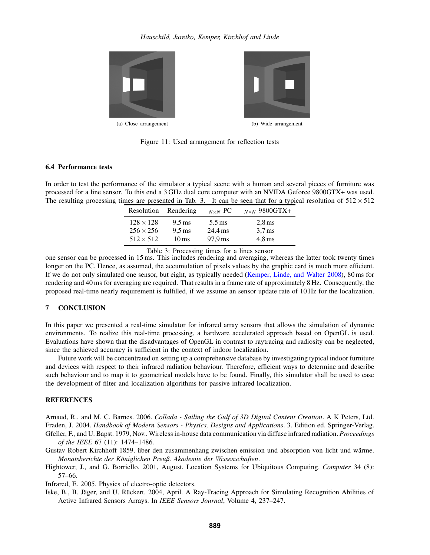

Figure 11: Used arrangement for reflection tests

## **6.4 Performance tests**

In order to test the performance of the simulator a typical scene with a human and several pieces of furniture was processed for a line sensor. To this end a 3 GHz dual core computer with an NVIDA Geforce 9800GTX+ was used. The resulting processing times are presented in Tab. 3. It can be seen that for a typical resolution of  $512 \times 512$ 

| Resolution       |                     |                      | Rendering $\Sigma_{N\times N}$ PC $\Sigma_{N\times N}$ 9800GTX+ |
|------------------|---------------------|----------------------|-----------------------------------------------------------------|
| $128 \times 128$ | $9.5 \,\mathrm{ms}$ | $5.5 \,\mathrm{ms}$  | $2.8 \,\mathrm{ms}$                                             |
| $256 \times 256$ | $9.5 \,\mathrm{ms}$ | $24.4 \,\mathrm{ms}$ | $3.7 \,\mathrm{ms}$                                             |
| $512 \times 512$ | $10 \,\mathrm{ms}$  | $97.9 \,\mathrm{ms}$ | $4.8 \,\mathrm{ms}$                                             |

Table 3: Processing times for a lines sensor

one sensor can be processed in 15 ms. This includes rendering and averaging, whereas the latter took twenty times longer on the PC. Hence, as assumed, the accumulation of pixels values by the graphic card is much more efficient. If we do not only simulated one sensor, but eight, as typically needed (Kemper, Linde, and Walter 2008), 80 ms for rendering and 40 ms for averaging are required. That results in a frame rate of approximately 8 Hz. Consequently, the proposed real-time nearly requirement is fulfilled, if we assume an sensor update rate of 10 Hz for the localization.

#### **7 CONCLUSION**

In this paper we presented a real-time simulator for infrared array sensors that allows the simulation of dynamic environments. To realize this real-time processing, a hardware accelerated approach based on OpenGL is used. Evaluations have shown that the disadvantages of OpenGL in contrast to raytracing and radiosity can be neglected, since the achieved accuracy is sufficient in the context of indoor localization.

Future work will be concentrated on setting up a comprehensive database by investigating typical indoor furniture and devices with respect to their infrared radiation behaviour. Therefore, efficient ways to determine and describe such behaviour and to map it to geometrical models have to be found. Finally, this simulator shall be used to ease the development of filter and localization algorithms for passive infrared localization.

## **REFERENCES**

Arnaud, R., and M. C. Barnes. 2006. *Collada - Sailing the Gulf of 3D Digital Content Creation*. A K Peters, Ltd. Fraden, J. 2004. *Handbook of Modern Sensors - Physics, Designs and Applications*. 3. Edition ed. Springer-Verlag. Gfeller, F., and U. Bapst. 1979, Nov.. Wireless in-house data communication via diffuse infrared radiation. *Proceedings*

*of the IEEE* 67 (11): 1474–1486.

Gustav Robert Kirchhoff 1859. über den zusammenhang zwischen emission und absorption von licht und wärme. *Monatsberichte der Königlichen Preuß. Akademie der Wissenschaften*.

Hightower, J., and G. Borriello. 2001, August. Location Systems for Ubiquitous Computing. *Computer* 34 (8): 57–66.

Infrared, E. 2005. Physics of electro-optic detectors.

Iske, B., B. Jäger, and U. Rückert. 2004, April. A Ray-Tracing Approach for Simulating Recognition Abilities of Active Infrared Sensors Arrays. In *IEEE Sensors Journal*, Volume 4, 237–247.